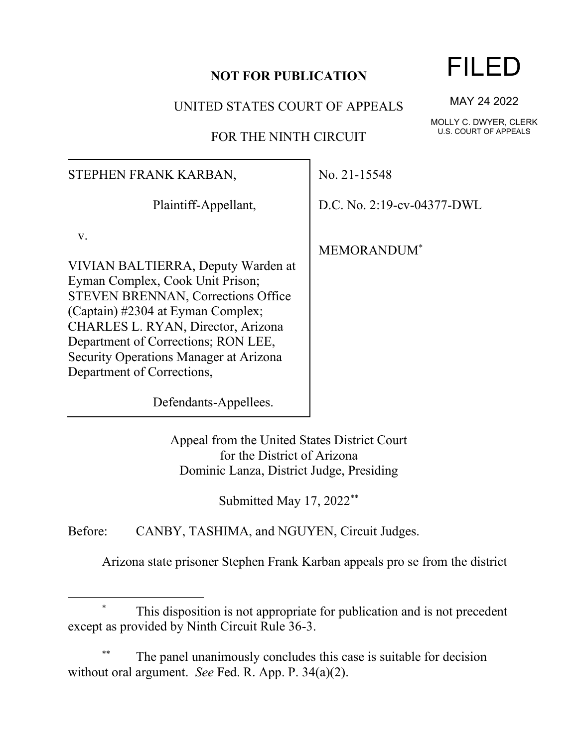#### **NOT FOR PUBLICATION**

UNITED STATES COURT OF APPEALS

FOR THE NINTH CIRCUIT

### STEPHEN FRANK KARBAN,

Plaintiff-Appellant,

v.

VIVIAN BALTIERRA, Deputy Warden at Eyman Complex, Cook Unit Prison; STEVEN BRENNAN, Corrections Office (Captain) #2304 at Eyman Complex; CHARLES L. RYAN, Director, Arizona Department of Corrections; RON LEE, Security Operations Manager at Arizona Department of Corrections,

No. 21-15548

D.C. No. 2:19-cv-04377-DWL

MEMORANDUM\*

Defendants-Appellees.

Appeal from the United States District Court for the District of Arizona Dominic Lanza, District Judge, Presiding

Submitted May 17, 2022\*\*

Before: CANBY, TASHIMA, and NGUYEN, Circuit Judges.

Arizona state prisoner Stephen Frank Karban appeals pro se from the district

## This disposition is not appropriate for publication and is not precedent except as provided by Ninth Circuit Rule 36-3.

The panel unanimously concludes this case is suitable for decision without oral argument. *See* Fed. R. App. P. 34(a)(2).

# FILED

MAY 24 2022

MOLLY C. DWYER, CLERK U.S. COURT OF APPEALS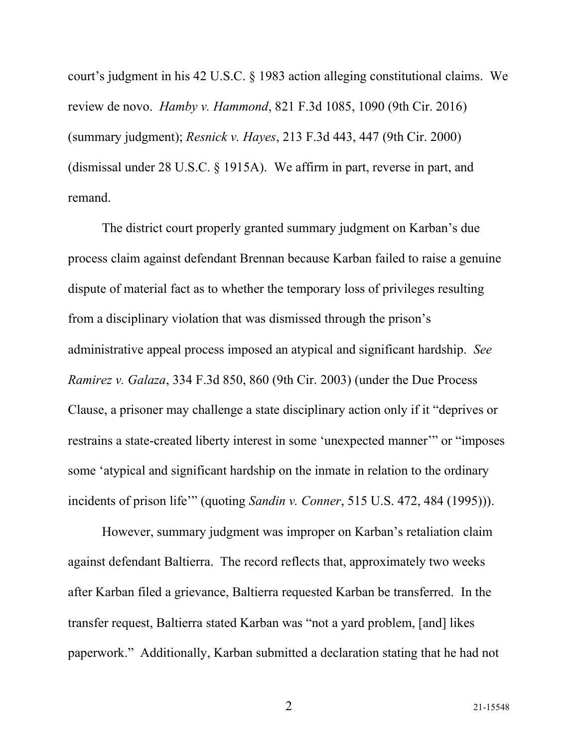court's judgment in his 42 U.S.C. § 1983 action alleging constitutional claims. We review de novo. *Hamby v. Hammond*, 821 F.3d 1085, 1090 (9th Cir. 2016) (summary judgment); *Resnick v. Hayes*, 213 F.3d 443, 447 (9th Cir. 2000) (dismissal under 28 U.S.C. § 1915A). We affirm in part, reverse in part, and remand.

The district court properly granted summary judgment on Karban's due process claim against defendant Brennan because Karban failed to raise a genuine dispute of material fact as to whether the temporary loss of privileges resulting from a disciplinary violation that was dismissed through the prison's administrative appeal process imposed an atypical and significant hardship. *See Ramirez v. Galaza*, 334 F.3d 850, 860 (9th Cir. 2003) (under the Due Process Clause, a prisoner may challenge a state disciplinary action only if it "deprives or restrains a state-created liberty interest in some 'unexpected manner'" or "imposes some 'atypical and significant hardship on the inmate in relation to the ordinary incidents of prison life'" (quoting *Sandin v. Conner*, 515 U.S. 472, 484 (1995))).

However, summary judgment was improper on Karban's retaliation claim against defendant Baltierra. The record reflects that, approximately two weeks after Karban filed a grievance, Baltierra requested Karban be transferred. In the transfer request, Baltierra stated Karban was "not a yard problem, [and] likes paperwork." Additionally, Karban submitted a declaration stating that he had not